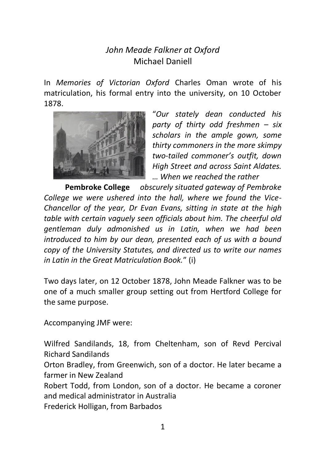## *John Meade Falkner at Oxford*  Michael Daniell

In *Memories of Victorian Oxford* Charles Oman wrote of his matriculation, his formal entry into the university, on 10 October 1878.



"*Our stately dean conducted his party of thirty odd freshmen – six scholars in the ample gown, some thirty commoners in the more skimpy two-tailed commoner's outfit, down High Street and across Saint Aldates. … When we reached the rather* 

**Pembroke College** *obscurely situated gateway of Pembroke College we were ushered into the hall, where we found the Vice-Chancellor of the year, Dr Evan Evans, sitting in state at the high table with certain vaguely seen officials about him. The cheerful old gentleman duly admonished us in Latin, when we had been introduced to him by our dean, presented each of us with a bound copy of the University Statutes, and directed us to write our names in Latin in the Great Matriculation Book.*" (i)

Two days later, on 12 October 1878, John Meade Falkner was to be one of a much smaller group setting out from Hertford College for the same purpose.

Accompanying JMF were:

Wilfred Sandilands, 18, from Cheltenham, son of Revd Percival Richard Sandilands

Orton Bradley, from Greenwich, son of a doctor. He later became a farmer in New Zealand

Robert Todd, from London, son of a doctor. He became a coroner and medical administrator in Australia

Frederick Holligan, from Barbados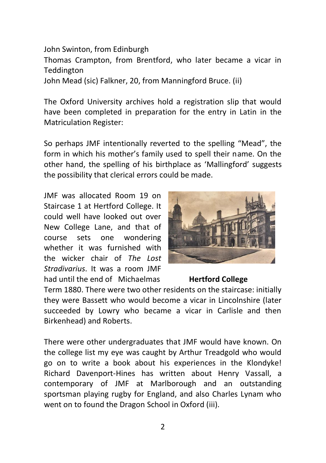John Swinton, from Edinburgh Thomas Crampton, from Brentford, who later became a vicar in Teddington John Mead (sic) Falkner, 20, from Manningford Bruce. (ii)

The Oxford University archives hold a registration slip that would have been completed in preparation for the entry in Latin in the Matriculation Register:

So perhaps JMF intentionally reverted to the spelling "Mead", the form in which his mother's family used to spell their name. On the other hand, the spelling of his birthplace as 'Mallingford' suggests the possibility that clerical errors could be made.

JMF was allocated Room 19 on Staircase 1 at Hertford College. It could well have looked out over New College Lane, and that of course sets one wondering whether it was furnished with the wicker chair of *The Lost Stradivarius*. It was a room JMF had until the end of Michaelmas **Hertford College** 



Term 1880. There were two other residents on the staircase: initially they were Bassett who would become a vicar in Lincolnshire (later succeeded by Lowry who became a vicar in Carlisle and then Birkenhead) and Roberts.

There were other undergraduates that JMF would have known. On the college list my eye was caught by Arthur Treadgold who would go on to write a book about his experiences in the Klondyke! Richard Davenport-Hines has written about Henry Vassall, a contemporary of JMF at Marlborough and an outstanding sportsman playing rugby for England, and also Charles Lynam who went on to found the Dragon School in Oxford (iii).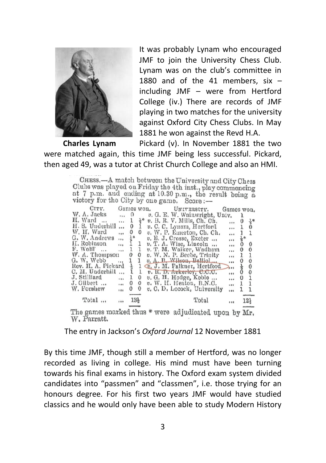

It was probably Lynam who encouraged JMF to join the University Chess Club. Lynam was on the club's committee in 1880 and of the 41 members, six  $$ including JMF – were from Hertford College (iv.) There are records of JMF playing in two matches for the university against Oxford City Chess Clubs. In May 1881 he won against the Revd H.A.

 **Charles Lynam** Pickard (v). In November 1881 the two were matched again, this time JMF being less successful. Pickard, then aged 49, was a tutor at Christ Church College and also an HMI.

CHESS.—A match between the University and City Chess<br>Clubs was played on Friday the 4th inst., play commencing<br>at 7 p.m. and ending at 10.30 p.m., the result being a<br>victory for the City by one game. Score:—

| CITY.                                                               | Games won.  |                 |    | UNITERSITY. |                               |  | Games won. |    |                 |
|---------------------------------------------------------------------|-------------|-----------------|----|-------------|-------------------------------|--|------------|----|-----------------|
| W. A. Jacks                                                         | $\cdots$    | $\theta$        |    |             | v. G. E. W. Wainwright, Univ. |  |            |    |                 |
| H. Ward                                                             | i i i       |                 | 공* |             | v. B. R. V. Mills, Ch. Ch.    |  |            | υ  | $\frac{1}{3}$ * |
| H. S. Underhill                                                     |             | 0               |    |             | v. C. C. Lynam, Hertford      |  | 581        |    |                 |
| W. H. Ward                                                          | $1 + 4$     | 0               | 0  |             | v, W. P. Emerton, Ch. Ch.     |  |            |    | ı               |
| G. W. Andrews                                                       | $8.8 - 8.$  | Å₹              |    |             | $v$ , E. J. Crosse, Excter    |  |            | 늅* |                 |
| II. Robinson                                                        |             | 1               |    |             | v. T. A. Wise, Lincoln        |  | .          | 0  | $\theta$        |
| F. Wolff<br>$\cdots$                                                | <b>SALE</b> | ı               | 1  |             | v. T. M. Walker, Wadham       |  | 111        | 0  | 0               |
| W. A. Thompson                                                      |             | ł)              | o  |             | v. W. N. P. Becbe, Trinity    |  | 111        | ı  | 1               |
| G. W. Webb                                                          | 1.11        | 1               | 1  |             | v. A. B. Wilson, Balliol      |  | $\cdots$   | 0  | 0               |
| Rev. H. A. Pickard                                                  |             | 룸               | ı  |             | v. J. M. Falkner, Hertford    |  | 2.1        | 튱  | 0               |
| C. M. Underhill                                                     | $1 + 1$     | ı               | ı  |             | $v$ . R. D. Ackerley, C.C.C.  |  | $1 + 1$    | 0  | 0               |
| J. Stilliard                                                        | $\cdots$    | ı               | 0  |             | $v$ , G. H. Hodge, Koblo      |  | $\cdots$   | 0  |                 |
| J. Gilbert                                                          | 101         | O               | 0  |             | v. W. H. Heaton, B.N.C.       |  | 184        | ı  |                 |
| W. Forshew                                                          | 111         | 0               | Ü  |             | v. C. D. Locock, University   |  | 0.06       |    | 1               |
| Total                                                               | 111         | $13\frac{1}{3}$ |    |             | Total                         |  | 844        |    | 12)             |
| The games marked thus * were adjudicated upon by Mr.<br>W. Parratt. |             |                 |    |             |                               |  |            |    |                 |

The entry in Jackson's *Oxford Journal* 12 November 1881

By this time JMF, though still a member of Hertford, was no longer recorded as living in college. His mind must have been turning towards his final exams in history. The Oxford exam system divided candidates into "passmen" and "classmen", i.e. those trying for an honours degree. For his first two years JMF would have studied classics and he would only have been able to study Modern History